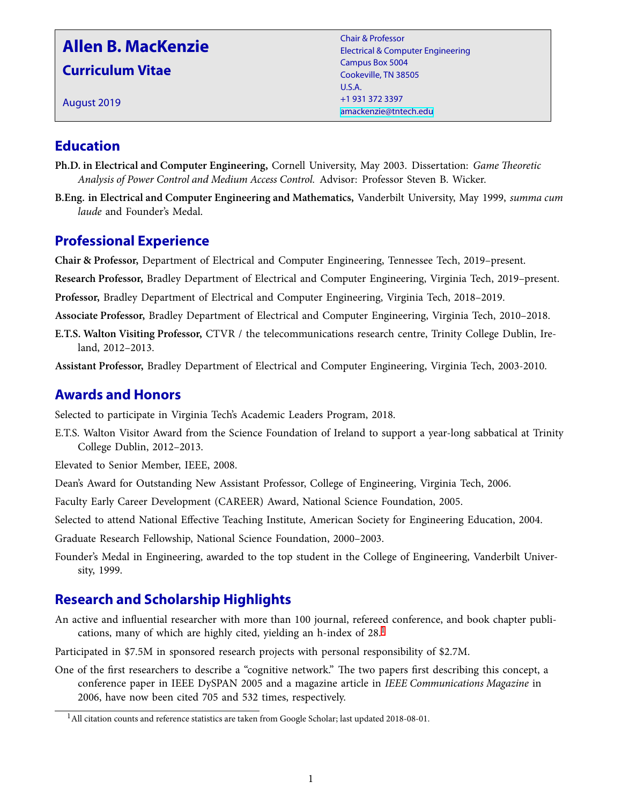# **Allen B. MacKenzie**

**Curriculum Vitae**

August 2019

Chair & Professor Electrical & Computer Engineering Campus Box 5004 Cookeville, TN 38505 U.S.A. +1 931 372 3397 [amackenzie@tntech.edu](mailto:amackenzie@tntech.edu)

## **Education**

- **Ph.D. in Electrical and Computer Engineering,** Cornell University, May 2003. Dissertation: *Game Theoretic Analysis of Power Control and Medium Access Control.* Advisor: Professor Steven B. Wicker.
- **B.Eng. in Electrical and Computer Engineering and Mathematics,** Vanderbilt University, May 1999, *summa cum laude* and Founder's Medal.

## **Professional Experience**

**Chair & Professor,** Department of Electrical and Computer Engineering, Tennessee Tech, 2019–present.

**Research Professor,** Bradley Department of Electrical and Computer Engineering, Virginia Tech, 2019–present.

**Professor,** Bradley Department of Electrical and Computer Engineering, Virginia Tech, 2018–2019.

**Associate Professor,** Bradley Department of Electrical and Computer Engineering, Virginia Tech, 2010–2018.

**E.T.S. Walton Visiting Professor,** CTVR / the telecommunications research centre, Trinity College Dublin, Ireland, 2012–2013.

**Assistant Professor,** Bradley Department of Electrical and Computer Engineering, Virginia Tech, 2003-2010.

## **Awards and Honors**

Selected to participate in Virginia Tech's Academic Leaders Program, 2018.

E.T.S. Walton Visitor Award from the Science Foundation of Ireland to support a year-long sabbatical at Trinity College Dublin, 2012–2013.

Elevated to Senior Member, IEEE, 2008.

Dean's Award for Outstanding New Assistant Professor, College of Engineering, Virginia Tech, 2006.

Faculty Early Career Development (CAREER) Award, National Science Foundation, 2005.

Selected to attend National Effective Teaching Institute, American Society for Engineering Education, 2004.

Graduate Research Fellowship, National Science Foundation, 2000–2003.

Founder's Medal in Engineering, awarded to the top student in the College of Engineering, Vanderbilt University, 1999.

## **Research and Scholarship Highlights**

An active and influential researcher with more than 100 journal, refereed conference, and book chapter publications, many of which are highly cited, yielding an h-index of 28.[1](#page-0-0)

Participated in \$7.5M in sponsored research projects with personal responsibility of \$2.7M.

One of the first researchers to describe a "cognitive network." The two papers first describing this concept, a conference paper in IEEE DySPAN 2005 and a magazine article in *IEEE Communications Magazine* in 2006, have now been cited 705 and 532 times, respectively.

<span id="page-0-0"></span><sup>&</sup>lt;sup>1</sup> All citation counts and reference statistics are taken from Google Scholar; last updated 2018-08-01.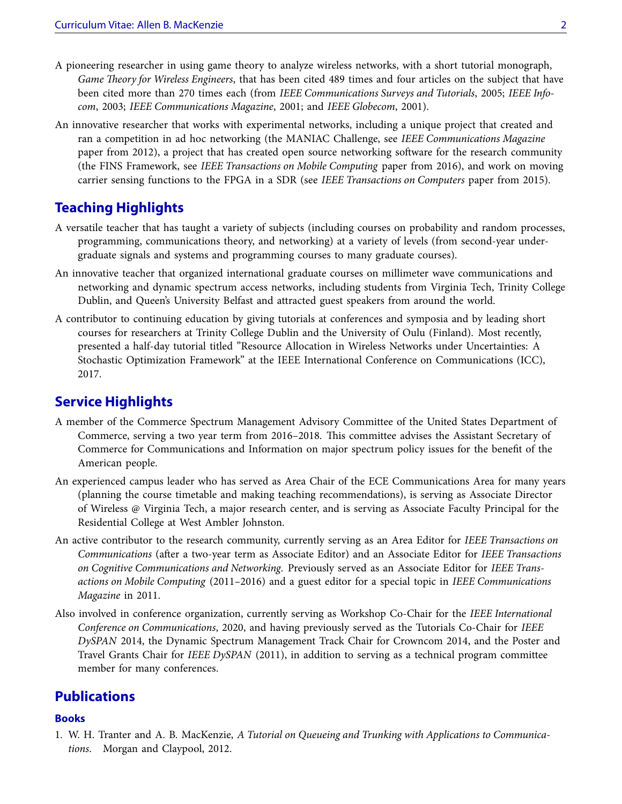- A pioneering researcher in using game theory to analyze wireless networks, with a short tutorial monograph, *Game Theory for Wireless Engineers*, that has been cited 489 times and four articles on the subject that have been cited more than 270 times each (from *IEEE Communications Surveys and Tutorials*, 2005; *IEEE Infocom*, 2003; *IEEE Communications Magazine*, 2001; and *IEEE Globecom*, 2001).
- An innovative researcher that works with experimental networks, including a unique project that created and ran a competition in ad hoc networking (the MANIAC Challenge, see *IEEE Communications Magazine* paper from 2012), a project that has created open source networking software for the research community (the FINS Framework, see *IEEE Transactions on Mobile Computing* paper from 2016), and work on moving carrier sensing functions to the FPGA in a SDR (see *IEEE Transactions on Computers* paper from 2015).

## **Teaching Highlights**

- A versatile teacher that has taught a variety of subjects (including courses on probability and random processes, programming, communications theory, and networking) at a variety of levels (from second-year undergraduate signals and systems and programming courses to many graduate courses).
- An innovative teacher that organized international graduate courses on millimeter wave communications and networking and dynamic spectrum access networks, including students from Virginia Tech, Trinity College Dublin, and Queen's University Belfast and attracted guest speakers from around the world.
- A contributor to continuing education by giving tutorials at conferences and symposia and by leading short courses for researchers at Trinity College Dublin and the University of Oulu (Finland). Most recently, presented a half-day tutorial titled "Resource Allocation in Wireless Networks under Uncertainties: A Stochastic Optimization Framework" at the IEEE International Conference on Communications (ICC), 2017.

### **Service Highlights**

- A member of the Commerce Spectrum Management Advisory Committee of the United States Department of Commerce, serving a two year term from 2016–2018. This committee advises the Assistant Secretary of Commerce for Communications and Information on major spectrum policy issues for the benefit of the American people.
- An experienced campus leader who has served as Area Chair of the ECE Communications Area for many years (planning the course timetable and making teaching recommendations), is serving as Associate Director of Wireless @ Virginia Tech, a major research center, and is serving as Associate Faculty Principal for the Residential College at West Ambler Johnston.
- An active contributor to the research community, currently serving as an Area Editor for *IEEE Transactions on Communications* (after a two-year term as Associate Editor) and an Associate Editor for *IEEE Transactions on Cognitive Communications and Networking*. Previously served as an Associate Editor for *IEEE Transactions on Mobile Computing* (2011–2016) and a guest editor for a special topic in *IEEE Communications Magazine* in 2011.
- Also involved in conference organization, currently serving as Workshop Co-Chair for the *IEEE International Conference on Communications*, 2020, and having previously served as the Tutorials Co-Chair for *IEEE DySPAN* 2014, the Dynamic Spectrum Management Track Chair for Crowncom 2014, and the Poster and Travel Grants Chair for *IEEE DySPAN* (2011), in addition to serving as a technical program committee member for many conferences.

### **Publications**

#### **Books**

1. W. H. Tranter and A. B. MacKenzie, *A Tutorial on Queueing and Trunking with Applications to Communications*. Morgan and Claypool, 2012.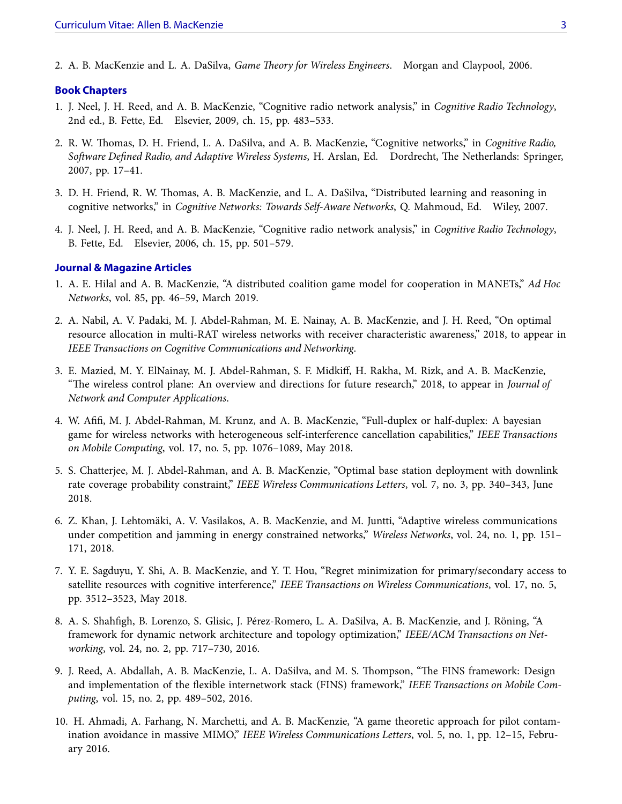2. A. B. MacKenzie and L. A. DaSilva, *Game Theory for Wireless Engineers*. Morgan and Claypool, 2006.

#### **Book Chapters**

- 1. J. Neel, J. H. Reed, and A. B. MacKenzie, "Cognitive radio network analysis," in *Cognitive Radio Technology*, 2nd ed., B. Fette, Ed. Elsevier, 2009, ch. 15, pp. 483–533.
- 2. R. W. Thomas, D. H. Friend, L. A. DaSilva, and A. B. MacKenzie, "Cognitive networks," in *Cognitive Radio, Software Defined Radio, and Adaptive Wireless Systems*, H. Arslan, Ed. Dordrecht, The Netherlands: Springer, 2007, pp. 17–41.
- 3. D. H. Friend, R. W. Thomas, A. B. MacKenzie, and L. A. DaSilva, "Distributed learning and reasoning in cognitive networks," in *Cognitive Networks: Towards Self-Aware Networks*, Q. Mahmoud, Ed. Wiley, 2007.
- 4. J. Neel, J. H. Reed, and A. B. MacKenzie, "Cognitive radio network analysis," in *Cognitive Radio Technology*, B. Fette, Ed. Elsevier, 2006, ch. 15, pp. 501–579.

#### **Journal & Magazine Articles**

- 1. A. E. Hilal and A. B. MacKenzie, "A distributed coalition game model for cooperation in MANETs," *Ad Hoc Networks*, vol. 85, pp. 46–59, March 2019.
- 2. A. Nabil, A. V. Padaki, M. J. Abdel-Rahman, M. E. Nainay, A. B. MacKenzie, and J. H. Reed, "On optimal resource allocation in multi-RAT wireless networks with receiver characteristic awareness," 2018, to appear in *IEEE Transactions on Cognitive Communications and Networking*.
- 3. E. Mazied, M. Y. ElNainay, M. J. Abdel-Rahman, S. F. Midkiff, H. Rakha, M. Rizk, and A. B. MacKenzie, "The wireless control plane: An overview and directions for future research," 2018, to appear in *Journal of Network and Computer Applications*.
- 4. W. Afifi, M. J. Abdel-Rahman, M. Krunz, and A. B. MacKenzie, "Full-duplex or half-duplex: A bayesian game for wireless networks with heterogeneous self-interference cancellation capabilities," *IEEE Transactions on Mobile Computing*, vol. 17, no. 5, pp. 1076–1089, May 2018.
- 5. S. Chatterjee, M. J. Abdel-Rahman, and A. B. MacKenzie, "Optimal base station deployment with downlink rate coverage probability constraint," *IEEE Wireless Communications Letters*, vol. 7, no. 3, pp. 340–343, June 2018.
- 6. Z. Khan, J. Lehtomäki, A. V. Vasilakos, A. B. MacKenzie, and M. Juntti, "Adaptive wireless communications under competition and jamming in energy constrained networks," *Wireless Networks*, vol. 24, no. 1, pp. 151– 171, 2018.
- 7. Y. E. Sagduyu, Y. Shi, A. B. MacKenzie, and Y. T. Hou, "Regret minimization for primary/secondary access to satellite resources with cognitive interference," *IEEE Transactions on Wireless Communications*, vol. 17, no. 5, pp. 3512–3523, May 2018.
- 8. A. S. Shahfigh, B. Lorenzo, S. Glisic, J. Pérez-Romero, L. A. DaSilva, A. B. MacKenzie, and J. Röning, "A framework for dynamic network architecture and topology optimization," *IEEE/ACM Transactions on Networking*, vol. 24, no. 2, pp. 717–730, 2016.
- 9. J. Reed, A. Abdallah, A. B. MacKenzie, L. A. DaSilva, and M. S. Thompson, "The FINS framework: Design and implementation of the flexible internetwork stack (FINS) framework," *IEEE Transactions on Mobile Computing*, vol. 15, no. 2, pp. 489–502, 2016.
- 10. H. Ahmadi, A. Farhang, N. Marchetti, and A. B. MacKenzie, "A game theoretic approach for pilot contamination avoidance in massive MIMO," *IEEE Wireless Communications Letters*, vol. 5, no. 1, pp. 12–15, February 2016.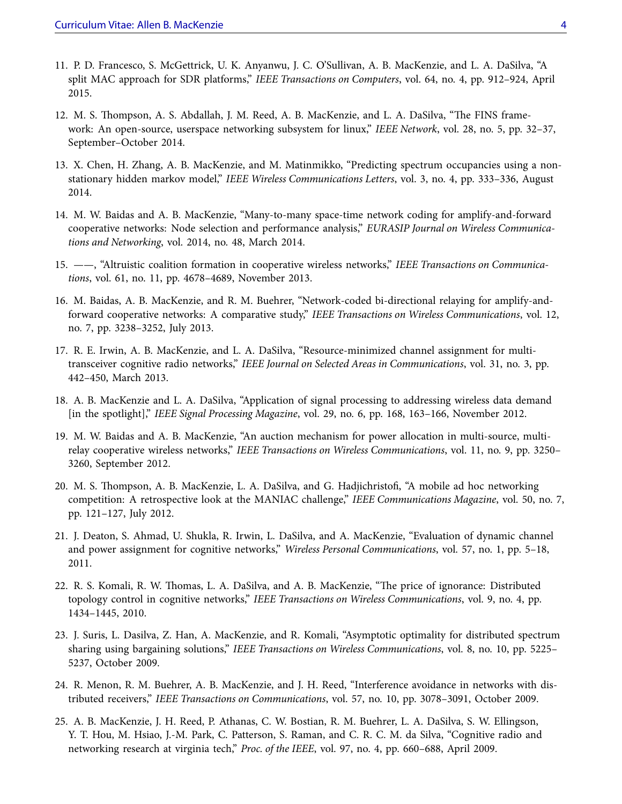- 11. P. D. Francesco, S. McGettrick, U. K. Anyanwu, J. C. O'Sullivan, A. B. MacKenzie, and L. A. DaSilva, "A split MAC approach for SDR platforms," *IEEE Transactions on Computers*, vol. 64, no. 4, pp. 912–924, April 2015.
- 12. M. S. Thompson, A. S. Abdallah, J. M. Reed, A. B. MacKenzie, and L. A. DaSilva, "The FINS framework: An open-source, userspace networking subsystem for linux," *IEEE Network*, vol. 28, no. 5, pp. 32–37, September–October 2014.
- 13. X. Chen, H. Zhang, A. B. MacKenzie, and M. Matinmikko, "Predicting spectrum occupancies using a nonstationary hidden markov model," *IEEE Wireless Communications Letters*, vol. 3, no. 4, pp. 333–336, August 2014.
- 14. M. W. Baidas and A. B. MacKenzie, "Many-to-many space-time network coding for amplify-and-forward cooperative networks: Node selection and performance analysis," *EURASIP Journal on Wireless Communications and Networking*, vol. 2014, no. 48, March 2014.
- 15. ——, "Altruistic coalition formation in cooperative wireless networks," *IEEE Transactions on Communications*, vol. 61, no. 11, pp. 4678–4689, November 2013.
- 16. M. Baidas, A. B. MacKenzie, and R. M. Buehrer, "Network-coded bi-directional relaying for amplify-andforward cooperative networks: A comparative study," *IEEE Transactions on Wireless Communications*, vol. 12, no. 7, pp. 3238–3252, July 2013.
- 17. R. E. Irwin, A. B. MacKenzie, and L. A. DaSilva, "Resource-minimized channel assignment for multitransceiver cognitive radio networks," *IEEE Journal on Selected Areas in Communications*, vol. 31, no. 3, pp. 442–450, March 2013.
- 18. A. B. MacKenzie and L. A. DaSilva, "Application of signal processing to addressing wireless data demand [in the spotlight]," *IEEE Signal Processing Magazine*, vol. 29, no. 6, pp. 168, 163–166, November 2012.
- 19. M. W. Baidas and A. B. MacKenzie, "An auction mechanism for power allocation in multi-source, multirelay cooperative wireless networks," *IEEE Transactions on Wireless Communications*, vol. 11, no. 9, pp. 3250– 3260, September 2012.
- 20. M. S. Thompson, A. B. MacKenzie, L. A. DaSilva, and G. Hadjichristofi, "A mobile ad hoc networking competition: A retrospective look at the MANIAC challenge," *IEEE Communications Magazine*, vol. 50, no. 7, pp. 121–127, July 2012.
- 21. J. Deaton, S. Ahmad, U. Shukla, R. Irwin, L. DaSilva, and A. MacKenzie, "Evaluation of dynamic channel and power assignment for cognitive networks," *Wireless Personal Communications*, vol. 57, no. 1, pp. 5–18, 2011.
- 22. R. S. Komali, R. W. Thomas, L. A. DaSilva, and A. B. MacKenzie, "The price of ignorance: Distributed topology control in cognitive networks," *IEEE Transactions on Wireless Communications*, vol. 9, no. 4, pp. 1434–1445, 2010.
- 23. J. Suris, L. Dasilva, Z. Han, A. MacKenzie, and R. Komali, "Asymptotic optimality for distributed spectrum sharing using bargaining solutions," *IEEE Transactions on Wireless Communications*, vol. 8, no. 10, pp. 5225– 5237, October 2009.
- 24. R. Menon, R. M. Buehrer, A. B. MacKenzie, and J. H. Reed, "Interference avoidance in networks with distributed receivers," *IEEE Transactions on Communications*, vol. 57, no. 10, pp. 3078–3091, October 2009.
- 25. A. B. MacKenzie, J. H. Reed, P. Athanas, C. W. Bostian, R. M. Buehrer, L. A. DaSilva, S. W. Ellingson, Y. T. Hou, M. Hsiao, J.-M. Park, C. Patterson, S. Raman, and C. R. C. M. da Silva, "Cognitive radio and networking research at virginia tech," *Proc. of the IEEE*, vol. 97, no. 4, pp. 660–688, April 2009.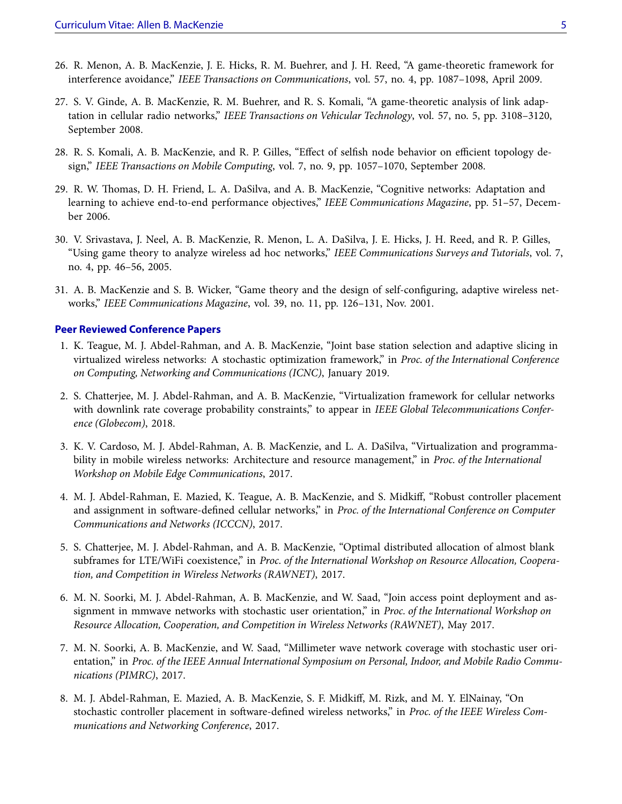- 26. R. Menon, A. B. MacKenzie, J. E. Hicks, R. M. Buehrer, and J. H. Reed, "A game-theoretic framework for interference avoidance," *IEEE Transactions on Communications*, vol. 57, no. 4, pp. 1087–1098, April 2009.
- 27. S. V. Ginde, A. B. MacKenzie, R. M. Buehrer, and R. S. Komali, "A game-theoretic analysis of link adaptation in cellular radio networks," *IEEE Transactions on Vehicular Technology*, vol. 57, no. 5, pp. 3108–3120, September 2008.
- 28. R. S. Komali, A. B. MacKenzie, and R. P. Gilles, "Effect of selfish node behavior on efficient topology design," *IEEE Transactions on Mobile Computing*, vol. 7, no. 9, pp. 1057–1070, September 2008.
- 29. R. W. Thomas, D. H. Friend, L. A. DaSilva, and A. B. MacKenzie, "Cognitive networks: Adaptation and learning to achieve end-to-end performance objectives," *IEEE Communications Magazine*, pp. 51–57, December 2006.
- 30. V. Srivastava, J. Neel, A. B. MacKenzie, R. Menon, L. A. DaSilva, J. E. Hicks, J. H. Reed, and R. P. Gilles, "Using game theory to analyze wireless ad hoc networks," *IEEE Communications Surveys and Tutorials*, vol. 7, no. 4, pp. 46–56, 2005.
- 31. A. B. MacKenzie and S. B. Wicker, "Game theory and the design of self-configuring, adaptive wireless networks," *IEEE Communications Magazine*, vol. 39, no. 11, pp. 126–131, Nov. 2001.

#### **Peer Reviewed Conference Papers**

- 1. K. Teague, M. J. Abdel-Rahman, and A. B. MacKenzie, "Joint base station selection and adaptive slicing in virtualized wireless networks: A stochastic optimization framework," in *Proc. of the International Conference on Computing, Networking and Communications (ICNC)*, January 2019.
- 2. S. Chatterjee, M. J. Abdel-Rahman, and A. B. MacKenzie, "Virtualization framework for cellular networks with downlink rate coverage probability constraints," to appear in *IEEE Global Telecommunications Conference (Globecom)*, 2018.
- 3. K. V. Cardoso, M. J. Abdel-Rahman, A. B. MacKenzie, and L. A. DaSilva, "Virtualization and programmability in mobile wireless networks: Architecture and resource management," in *Proc. of the International Workshop on Mobile Edge Communications*, 2017.
- 4. M. J. Abdel-Rahman, E. Mazied, K. Teague, A. B. MacKenzie, and S. Midkiff, "Robust controller placement and assignment in software-defined cellular networks," in *Proc. of the International Conference on Computer Communications and Networks (ICCCN)*, 2017.
- 5. S. Chatterjee, M. J. Abdel-Rahman, and A. B. MacKenzie, "Optimal distributed allocation of almost blank subframes for LTE/WiFi coexistence," in *Proc. of the International Workshop on Resource Allocation, Cooperation, and Competition in Wireless Networks (RAWNET)*, 2017.
- 6. M. N. Soorki, M. J. Abdel-Rahman, A. B. MacKenzie, and W. Saad, "Join access point deployment and assignment in mmwave networks with stochastic user orientation," in *Proc. of the International Workshop on Resource Allocation, Cooperation, and Competition in Wireless Networks (RAWNET)*, May 2017.
- 7. M. N. Soorki, A. B. MacKenzie, and W. Saad, "Millimeter wave network coverage with stochastic user orientation," in *Proc. of the IEEE Annual International Symposium on Personal, Indoor, and Mobile Radio Communications (PIMRC)*, 2017.
- 8. M. J. Abdel-Rahman, E. Mazied, A. B. MacKenzie, S. F. Midkiff, M. Rizk, and M. Y. ElNainay, "On stochastic controller placement in software-defined wireless networks," in *Proc. of the IEEE Wireless Communications and Networking Conference*, 2017.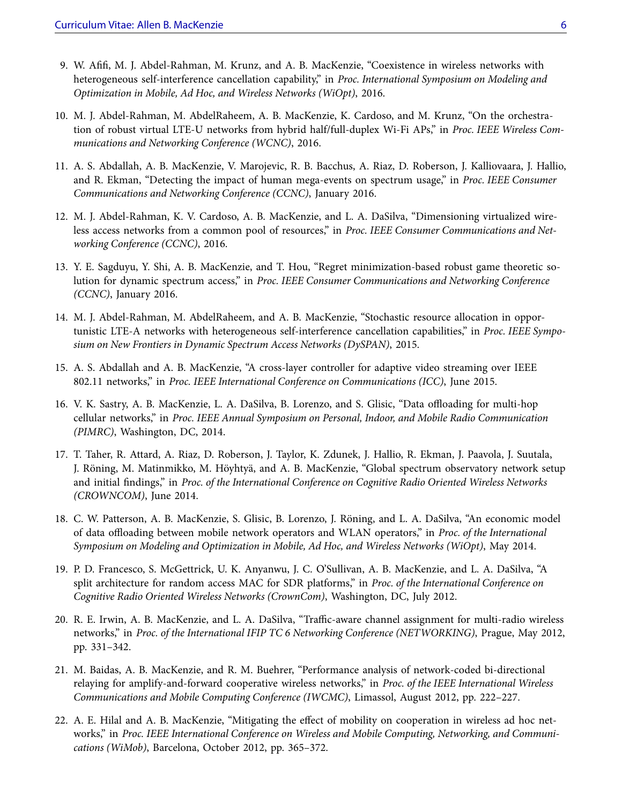- 9. W. Afifi, M. J. Abdel-Rahman, M. Krunz, and A. B. MacKenzie, "Coexistence in wireless networks with heterogeneous self-interference cancellation capability," in *Proc. International Symposium on Modeling and Optimization in Mobile, Ad Hoc, and Wireless Networks (WiOpt)*, 2016.
- 10. M. J. Abdel-Rahman, M. AbdelRaheem, A. B. MacKenzie, K. Cardoso, and M. Krunz, "On the orchestration of robust virtual LTE-U networks from hybrid half/full-duplex Wi-Fi APs," in *Proc. IEEE Wireless Communications and Networking Conference (WCNC)*, 2016.
- 11. A. S. Abdallah, A. B. MacKenzie, V. Marojevic, R. B. Bacchus, A. Riaz, D. Roberson, J. Kalliovaara, J. Hallio, and R. Ekman, "Detecting the impact of human mega-events on spectrum usage," in *Proc. IEEE Consumer Communications and Networking Conference (CCNC)*, January 2016.
- 12. M. J. Abdel-Rahman, K. V. Cardoso, A. B. MacKenzie, and L. A. DaSilva, "Dimensioning virtualized wireless access networks from a common pool of resources," in *Proc. IEEE Consumer Communications and Networking Conference (CCNC)*, 2016.
- 13. Y. E. Sagduyu, Y. Shi, A. B. MacKenzie, and T. Hou, "Regret minimization-based robust game theoretic solution for dynamic spectrum access," in *Proc. IEEE Consumer Communications and Networking Conference (CCNC)*, January 2016.
- 14. M. J. Abdel-Rahman, M. AbdelRaheem, and A. B. MacKenzie, "Stochastic resource allocation in opportunistic LTE-A networks with heterogeneous self-interference cancellation capabilities," in *Proc. IEEE Symposium on New Frontiers in Dynamic Spectrum Access Networks (DySPAN)*, 2015.
- 15. A. S. Abdallah and A. B. MacKenzie, "A cross-layer controller for adaptive video streaming over IEEE 802.11 networks," in *Proc. IEEE International Conference on Communications (ICC)*, June 2015.
- 16. V. K. Sastry, A. B. MacKenzie, L. A. DaSilva, B. Lorenzo, and S. Glisic, "Data offloading for multi-hop cellular networks," in *Proc. IEEE Annual Symposium on Personal, Indoor, and Mobile Radio Communication (PIMRC)*, Washington, DC, 2014.
- 17. T. Taher, R. Attard, A. Riaz, D. Roberson, J. Taylor, K. Zdunek, J. Hallio, R. Ekman, J. Paavola, J. Suutala, J. Röning, M. Matinmikko, M. Höyhtyä, and A. B. MacKenzie, "Global spectrum observatory network setup and initial findings," in *Proc. of the International Conference on Cognitive Radio Oriented Wireless Networks (CROWNCOM)*, June 2014.
- 18. C. W. Patterson, A. B. MacKenzie, S. Glisic, B. Lorenzo, J. Röning, and L. A. DaSilva, "An economic model of data offloading between mobile network operators and WLAN operators," in *Proc. of the International Symposium on Modeling and Optimization in Mobile, Ad Hoc, and Wireless Networks (WiOpt)*, May 2014.
- 19. P. D. Francesco, S. McGettrick, U. K. Anyanwu, J. C. O'Sullivan, A. B. MacKenzie, and L. A. DaSilva, "A split architecture for random access MAC for SDR platforms," in *Proc. of the International Conference on Cognitive Radio Oriented Wireless Networks (CrownCom)*, Washington, DC, July 2012.
- 20. R. E. Irwin, A. B. MacKenzie, and L. A. DaSilva, "Traffic-aware channel assignment for multi-radio wireless networks," in *Proc. of the International IFIP TC 6 Networking Conference (NETWORKING)*, Prague, May 2012, pp. 331–342.
- 21. M. Baidas, A. B. MacKenzie, and R. M. Buehrer, "Performance analysis of network-coded bi-directional relaying for amplify-and-forward cooperative wireless networks," in *Proc. of the IEEE International Wireless Communications and Mobile Computing Conference (IWCMC)*, Limassol, August 2012, pp. 222–227.
- 22. A. E. Hilal and A. B. MacKenzie, "Mitigating the effect of mobility on cooperation in wireless ad hoc networks," in *Proc. IEEE International Conference on Wireless and Mobile Computing, Networking, and Communications (WiMob)*, Barcelona, October 2012, pp. 365–372.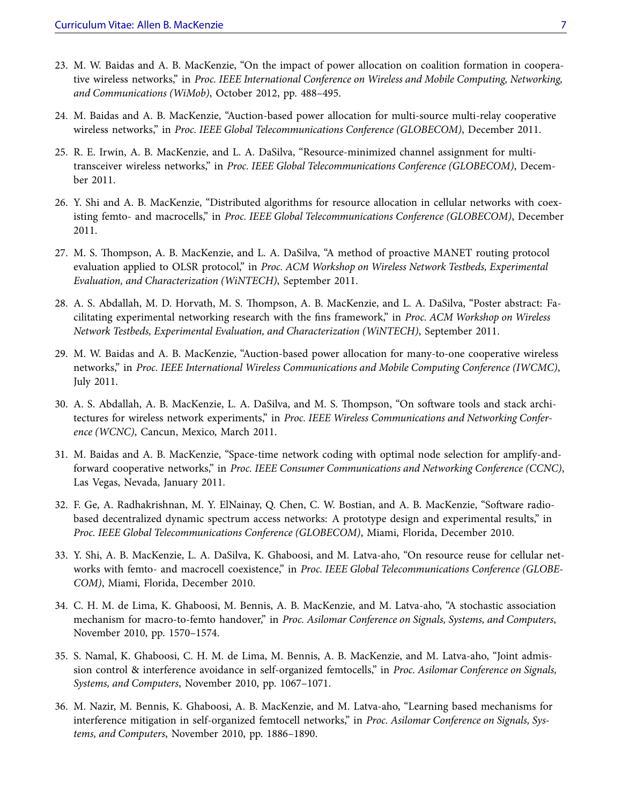- 23. M. W. Baidas and A. B. MacKenzie, "On the impact of power allocation on coalition formation in cooperative wireless networks," in *Proc. IEEE International Conference on Wireless and Mobile Computing, Networking, and Communications (WiMob)*, October 2012, pp. 488–495.
- 24. M. Baidas and A. B. MacKenzie, "Auction-based power allocation for multi-source multi-relay cooperative wireless networks," in *Proc. IEEE Global Telecommunications Conference (GLOBECOM)*, December 2011.
- 25. R. E. Irwin, A. B. MacKenzie, and L. A. DaSilva, "Resource-minimized channel assignment for multitransceiver wireless networks," in *Proc. IEEE Global Telecommunications Conference (GLOBECOM)*, December 2011.
- 26. Y. Shi and A. B. MacKenzie, "Distributed algorithms for resource allocation in cellular networks with coexisting femto- and macrocells," in *Proc. IEEE Global Telecommunications Conference (GLOBECOM)*, December 2011.
- 27. M. S. Thompson, A. B. MacKenzie, and L. A. DaSilva, "A method of proactive MANET routing protocol evaluation applied to OLSR protocol," in *Proc. ACM Workshop on Wireless Network Testbeds, Experimental Evaluation, and Characterization (WiNTECH)*, September 2011.
- 28. A. S. Abdallah, M. D. Horvath, M. S. Thompson, A. B. MacKenzie, and L. A. DaSilva, "Poster abstract: Facilitating experimental networking research with the fins framework," in *Proc. ACM Workshop on Wireless Network Testbeds, Experimental Evaluation, and Characterization (WiNTECH)*, September 2011.
- 29. M. W. Baidas and A. B. MacKenzie, "Auction-based power allocation for many-to-one cooperative wireless networks," in *Proc. IEEE International Wireless Communications and Mobile Computing Conference (IWCMC)*, July 2011.
- 30. A. S. Abdallah, A. B. MacKenzie, L. A. DaSilva, and M. S. Thompson, "On software tools and stack architectures for wireless network experiments," in *Proc. IEEE Wireless Communications and Networking Conference (WCNC)*, Cancun, Mexico, March 2011.
- 31. M. Baidas and A. B. MacKenzie, "Space-time network coding with optimal node selection for amplify-andforward cooperative networks," in *Proc. IEEE Consumer Communications and Networking Conference (CCNC)*, Las Vegas, Nevada, January 2011.
- 32. F. Ge, A. Radhakrishnan, M. Y. ElNainay, Q. Chen, C. W. Bostian, and A. B. MacKenzie, "Software radiobased decentralized dynamic spectrum access networks: A prototype design and experimental results," in *Proc. IEEE Global Telecommunications Conference (GLOBECOM)*, Miami, Florida, December 2010.
- 33. Y. Shi, A. B. MacKenzie, L. A. DaSilva, K. Ghaboosi, and M. Latva-aho, "On resource reuse for cellular networks with femto- and macrocell coexistence," in *Proc. IEEE Global Telecommunications Conference (GLOBE-COM)*, Miami, Florida, December 2010.
- 34. C. H. M. de Lima, K. Ghaboosi, M. Bennis, A. B. MacKenzie, and M. Latva-aho, "A stochastic association mechanism for macro-to-femto handover," in *Proc. Asilomar Conference on Signals, Systems, and Computers*, November 2010, pp. 1570–1574.
- 35. S. Namal, K. Ghaboosi, C. H. M. de Lima, M. Bennis, A. B. MacKenzie, and M. Latva-aho, "Joint admission control & interference avoidance in self-organized femtocells," in *Proc. Asilomar Conference on Signals, Systems, and Computers*, November 2010, pp. 1067–1071.
- 36. M. Nazir, M. Bennis, K. Ghaboosi, A. B. MacKenzie, and M. Latva-aho, "Learning based mechanisms for interference mitigation in self-organized femtocell networks," in *Proc. Asilomar Conference on Signals, Systems, and Computers*, November 2010, pp. 1886–1890.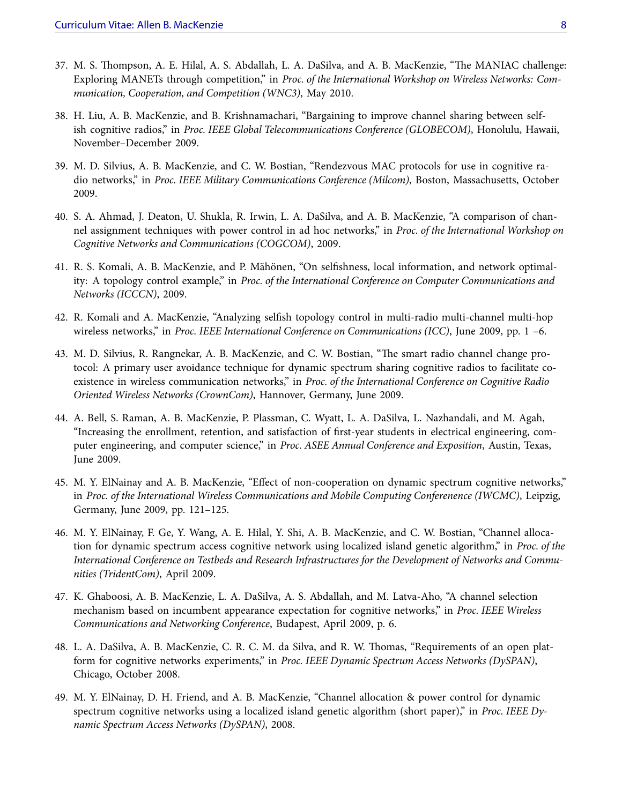- 37. M. S. Thompson, A. E. Hilal, A. S. Abdallah, L. A. DaSilva, and A. B. MacKenzie, "The MANIAC challenge: Exploring MANETs through competition," in *Proc. of the International Workshop on Wireless Networks: Communication, Cooperation, and Competition (WNC3)*, May 2010.
- 38. H. Liu, A. B. MacKenzie, and B. Krishnamachari, "Bargaining to improve channel sharing between selfish cognitive radios," in *Proc. IEEE Global Telecommunications Conference (GLOBECOM)*, Honolulu, Hawaii, November–December 2009.
- 39. M. D. Silvius, A. B. MacKenzie, and C. W. Bostian, "Rendezvous MAC protocols for use in cognitive radio networks," in *Proc. IEEE Military Communications Conference (Milcom)*, Boston, Massachusetts, October 2009.
- 40. S. A. Ahmad, J. Deaton, U. Shukla, R. Irwin, L. A. DaSilva, and A. B. MacKenzie, "A comparison of channel assignment techniques with power control in ad hoc networks," in *Proc. of the International Workshop on Cognitive Networks and Communications (COGCOM)*, 2009.
- 41. R. S. Komali, A. B. MacKenzie, and P. Mähönen, "On selfishness, local information, and network optimality: A topology control example," in *Proc. of the International Conference on Computer Communications and Networks (ICCCN)*, 2009.
- 42. R. Komali and A. MacKenzie, "Analyzing selfish topology control in multi-radio multi-channel multi-hop wireless networks," in *Proc. IEEE International Conference on Communications (ICC)*, June 2009, pp. 1 –6.
- 43. M. D. Silvius, R. Rangnekar, A. B. MacKenzie, and C. W. Bostian, "The smart radio channel change protocol: A primary user avoidance technique for dynamic spectrum sharing cognitive radios to facilitate coexistence in wireless communication networks," in *Proc. of the International Conference on Cognitive Radio Oriented Wireless Networks (CrownCom)*, Hannover, Germany, June 2009.
- 44. A. Bell, S. Raman, A. B. MacKenzie, P. Plassman, C. Wyatt, L. A. DaSilva, L. Nazhandali, and M. Agah, "Increasing the enrollment, retention, and satisfaction of first-year students in electrical engineering, computer engineering, and computer science," in *Proc. ASEE Annual Conference and Exposition*, Austin, Texas, June 2009.
- 45. M. Y. ElNainay and A. B. MacKenzie, "Effect of non-cooperation on dynamic spectrum cognitive networks," in *Proc. of the International Wireless Communications and Mobile Computing Conferenence (IWCMC)*, Leipzig, Germany, June 2009, pp. 121–125.
- 46. M. Y. ElNainay, F. Ge, Y. Wang, A. E. Hilal, Y. Shi, A. B. MacKenzie, and C. W. Bostian, "Channel allocation for dynamic spectrum access cognitive network using localized island genetic algorithm," in *Proc. of the International Conference on Testbeds and Research Infrastructures for the Development of Networks and Communities (TridentCom)*, April 2009.
- 47. K. Ghaboosi, A. B. MacKenzie, L. A. DaSilva, A. S. Abdallah, and M. Latva-Aho, "A channel selection mechanism based on incumbent appearance expectation for cognitive networks," in *Proc. IEEE Wireless Communications and Networking Conference*, Budapest, April 2009, p. 6.
- 48. L. A. DaSilva, A. B. MacKenzie, C. R. C. M. da Silva, and R. W. Thomas, "Requirements of an open platform for cognitive networks experiments," in *Proc. IEEE Dynamic Spectrum Access Networks (DySPAN)*, Chicago, October 2008.
- 49. M. Y. ElNainay, D. H. Friend, and A. B. MacKenzie, "Channel allocation & power control for dynamic spectrum cognitive networks using a localized island genetic algorithm (short paper)," in *Proc. IEEE Dynamic Spectrum Access Networks (DySPAN)*, 2008.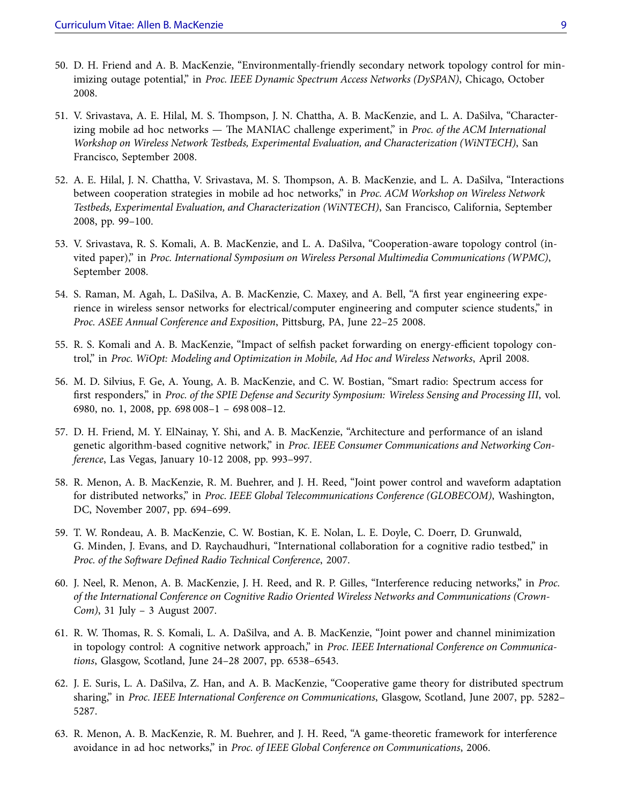- 50. D. H. Friend and A. B. MacKenzie, "Environmentally-friendly secondary network topology control for minimizing outage potential," in *Proc. IEEE Dynamic Spectrum Access Networks (DySPAN)*, Chicago, October 2008.
- 51. V. Srivastava, A. E. Hilal, M. S. Thompson, J. N. Chattha, A. B. MacKenzie, and L. A. DaSilva, "Characterizing mobile ad hoc networks — The MANIAC challenge experiment," in *Proc. of the ACM International Workshop on Wireless Network Testbeds, Experimental Evaluation, and Characterization (WiNTECH)*, San Francisco, September 2008.
- 52. A. E. Hilal, J. N. Chattha, V. Srivastava, M. S. Thompson, A. B. MacKenzie, and L. A. DaSilva, "Interactions between cooperation strategies in mobile ad hoc networks," in *Proc. ACM Workshop on Wireless Network Testbeds, Experimental Evaluation, and Characterization (WiNTECH)*, San Francisco, California, September 2008, pp. 99–100.
- 53. V. Srivastava, R. S. Komali, A. B. MacKenzie, and L. A. DaSilva, "Cooperation-aware topology control (invited paper)," in *Proc. International Symposium on Wireless Personal Multimedia Communications (WPMC)*, September 2008.
- 54. S. Raman, M. Agah, L. DaSilva, A. B. MacKenzie, C. Maxey, and A. Bell, "A first year engineering experience in wireless sensor networks for electrical/computer engineering and computer science students," in *Proc. ASEE Annual Conference and Exposition*, Pittsburg, PA, June 22–25 2008.
- 55. R. S. Komali and A. B. MacKenzie, "Impact of selfish packet forwarding on energy-efficient topology control," in *Proc. WiOpt: Modeling and Optimization in Mobile, Ad Hoc and Wireless Networks*, April 2008.
- 56. M. D. Silvius, F. Ge, A. Young, A. B. MacKenzie, and C. W. Bostian, "Smart radio: Spectrum access for first responders," in *Proc. of the SPIE Defense and Security Symposium: Wireless Sensing and Processing III*, vol. 6980, no. 1, 2008, pp. 698 008–1 – 698 008–12.
- 57. D. H. Friend, M. Y. ElNainay, Y. Shi, and A. B. MacKenzie, "Architecture and performance of an island genetic algorithm-based cognitive network," in *Proc. IEEE Consumer Communications and Networking Conference*, Las Vegas, January 10-12 2008, pp. 993–997.
- 58. R. Menon, A. B. MacKenzie, R. M. Buehrer, and J. H. Reed, "Joint power control and waveform adaptation for distributed networks," in *Proc. IEEE Global Telecommunications Conference (GLOBECOM)*, Washington, DC, November 2007, pp. 694–699.
- 59. T. W. Rondeau, A. B. MacKenzie, C. W. Bostian, K. E. Nolan, L. E. Doyle, C. Doerr, D. Grunwald, G. Minden, J. Evans, and D. Raychaudhuri, "International collaboration for a cognitive radio testbed," in *Proc. of the Software Defined Radio Technical Conference*, 2007.
- 60. J. Neel, R. Menon, A. B. MacKenzie, J. H. Reed, and R. P. Gilles, "Interference reducing networks," in *Proc. of the International Conference on Cognitive Radio Oriented Wireless Networks and Communications (Crown-Com)*, 31 July – 3 August 2007.
- 61. R. W. Thomas, R. S. Komali, L. A. DaSilva, and A. B. MacKenzie, "Joint power and channel minimization in topology control: A cognitive network approach," in *Proc. IEEE International Conference on Communications*, Glasgow, Scotland, June 24–28 2007, pp. 6538–6543.
- 62. J. E. Suris, L. A. DaSilva, Z. Han, and A. B. MacKenzie, "Cooperative game theory for distributed spectrum sharing," in *Proc. IEEE International Conference on Communications*, Glasgow, Scotland, June 2007, pp. 5282– 5287.
- 63. R. Menon, A. B. MacKenzie, R. M. Buehrer, and J. H. Reed, "A game-theoretic framework for interference avoidance in ad hoc networks," in *Proc. of IEEE Global Conference on Communications*, 2006.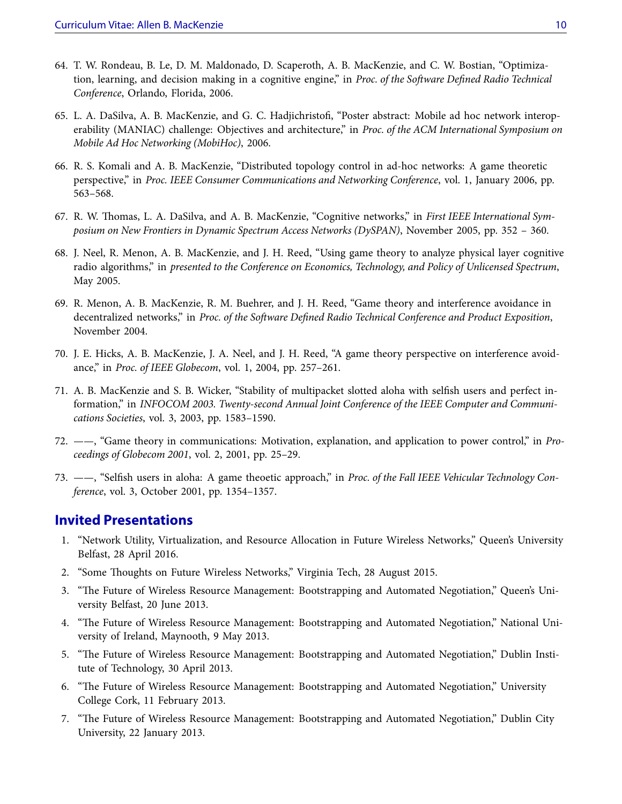- 64. T. W. Rondeau, B. Le, D. M. Maldonado, D. Scaperoth, A. B. MacKenzie, and C. W. Bostian, "Optimization, learning, and decision making in a cognitive engine," in *Proc. of the Software Defined Radio Technical Conference*, Orlando, Florida, 2006.
- 65. L. A. DaSilva, A. B. MacKenzie, and G. C. Hadjichristofi, "Poster abstract: Mobile ad hoc network interoperability (MANIAC) challenge: Objectives and architecture," in *Proc. of the ACM International Symposium on Mobile Ad Hoc Networking (MobiHoc)*, 2006.
- 66. R. S. Komali and A. B. MacKenzie, "Distributed topology control in ad-hoc networks: A game theoretic perspective," in *Proc. IEEE Consumer Communications and Networking Conference*, vol. 1, January 2006, pp. 563–568.
- 67. R. W. Thomas, L. A. DaSilva, and A. B. MacKenzie, "Cognitive networks," in *First IEEE International Symposium on New Frontiers in Dynamic Spectrum Access Networks (DySPAN)*, November 2005, pp. 352 – 360.
- 68. J. Neel, R. Menon, A. B. MacKenzie, and J. H. Reed, "Using game theory to analyze physical layer cognitive radio algorithms," in *presented to the Conference on Economics, Technology, and Policy of Unlicensed Spectrum*, May 2005.
- 69. R. Menon, A. B. MacKenzie, R. M. Buehrer, and J. H. Reed, "Game theory and interference avoidance in decentralized networks," in *Proc. of the Software Defined Radio Technical Conference and Product Exposition*, November 2004.
- 70. J. E. Hicks, A. B. MacKenzie, J. A. Neel, and J. H. Reed, "A game theory perspective on interference avoidance," in *Proc. of IEEE Globecom*, vol. 1, 2004, pp. 257–261.
- 71. A. B. MacKenzie and S. B. Wicker, "Stability of multipacket slotted aloha with selfish users and perfect information," in *INFOCOM 2003. Twenty-second Annual Joint Conference of the IEEE Computer and Communications Societies*, vol. 3, 2003, pp. 1583–1590.
- 72. ——, "Game theory in communications: Motivation, explanation, and application to power control," in *Proceedings of Globecom 2001*, vol. 2, 2001, pp. 25–29.
- 73. ——, "Selfish users in aloha: A game theoetic approach," in *Proc. of the Fall IEEE Vehicular Technology Conference*, vol. 3, October 2001, pp. 1354–1357.

### **Invited Presentations**

- 1. "Network Utility, Virtualization, and Resource Allocation in Future Wireless Networks," Queen's University Belfast, 28 April 2016.
- 2. "Some Thoughts on Future Wireless Networks," Virginia Tech, 28 August 2015.
- 3. "The Future of Wireless Resource Management: Bootstrapping and Automated Negotiation," Queen's University Belfast, 20 June 2013.
- 4. "The Future of Wireless Resource Management: Bootstrapping and Automated Negotiation," National University of Ireland, Maynooth, 9 May 2013.
- 5. "The Future of Wireless Resource Management: Bootstrapping and Automated Negotiation," Dublin Institute of Technology, 30 April 2013.
- 6. "The Future of Wireless Resource Management: Bootstrapping and Automated Negotiation," University College Cork, 11 February 2013.
- 7. "The Future of Wireless Resource Management: Bootstrapping and Automated Negotiation," Dublin City University, 22 January 2013.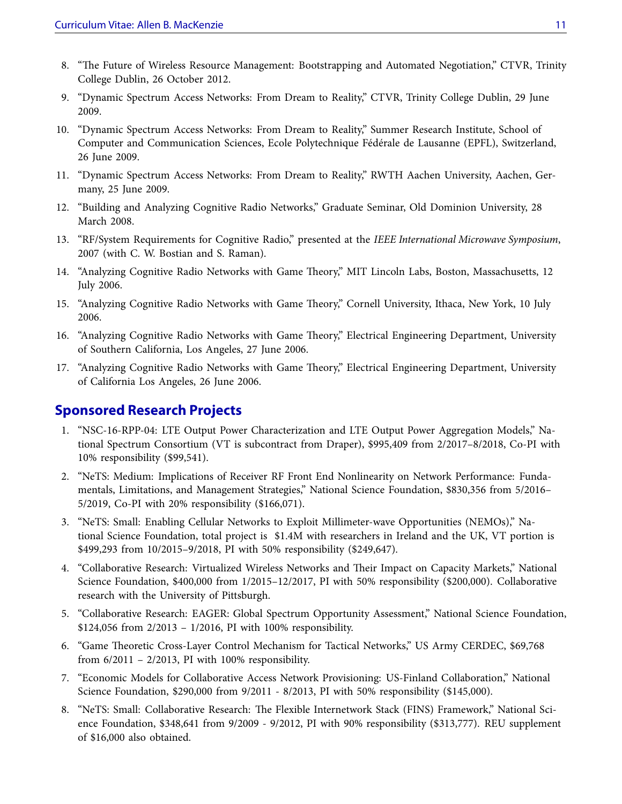- 8. "The Future of Wireless Resource Management: Bootstrapping and Automated Negotiation," CTVR, Trinity College Dublin, 26 October 2012.
- 9. "Dynamic Spectrum Access Networks: From Dream to Reality," CTVR, Trinity College Dublin, 29 June 2009.
- 10. "Dynamic Spectrum Access Networks: From Dream to Reality," Summer Research Institute, School of Computer and Communication Sciences, Ecole Polytechnique Fédérale de Lausanne (EPFL), Switzerland, 26 June 2009.
- 11. "Dynamic Spectrum Access Networks: From Dream to Reality," RWTH Aachen University, Aachen, Germany, 25 June 2009.
- 12. "Building and Analyzing Cognitive Radio Networks," Graduate Seminar, Old Dominion University, 28 March 2008.
- 13. "RF/System Requirements for Cognitive Radio," presented at the *IEEE International Microwave Symposium*, 2007 (with C. W. Bostian and S. Raman).
- 14. "Analyzing Cognitive Radio Networks with Game Theory," MIT Lincoln Labs, Boston, Massachusetts, 12 July 2006.
- 15. "Analyzing Cognitive Radio Networks with Game Theory," Cornell University, Ithaca, New York, 10 July 2006.
- 16. "Analyzing Cognitive Radio Networks with Game Theory," Electrical Engineering Department, University of Southern California, Los Angeles, 27 June 2006.
- 17. "Analyzing Cognitive Radio Networks with Game Theory," Electrical Engineering Department, University of California Los Angeles, 26 June 2006.

## **Sponsored Research Projects**

- 1. "NSC-16-RPP-04: LTE Output Power Characterization and LTE Output Power Aggregation Models," National Spectrum Consortium (VT is subcontract from Draper), \$995,409 from 2/2017–8/2018, Co-PI with 10% responsibility (\$99,541).
- 2. "NeTS: Medium: Implications of Receiver RF Front End Nonlinearity on Network Performance: Fundamentals, Limitations, and Management Strategies," National Science Foundation, \$830,356 from 5/2016– 5/2019, Co-PI with 20% responsibility (\$166,071).
- 3. "NeTS: Small: Enabling Cellular Networks to Exploit Millimeter-wave Opportunities (NEMOs)," National Science Foundation, total project is \$1.4M with researchers in Ireland and the UK, VT portion is \$499,293 from 10/2015–9/2018, PI with 50% responsibility (\$249,647).
- 4. "Collaborative Research: Virtualized Wireless Networks and Their Impact on Capacity Markets," National Science Foundation, \$400,000 from 1/2015–12/2017, PI with 50% responsibility (\$200,000). Collaborative research with the University of Pittsburgh.
- 5. "Collaborative Research: EAGER: Global Spectrum Opportunity Assessment," National Science Foundation, \$124,056 from 2/2013 – 1/2016, PI with 100% responsibility.
- 6. "Game Theoretic Cross-Layer Control Mechanism for Tactical Networks," US Army CERDEC, \$69,768 from  $6/2011 - 2/2013$ , PI with 100% responsibility.
- 7. "Economic Models for Collaborative Access Network Provisioning: US-Finland Collaboration," National Science Foundation, \$290,000 from 9/2011 - 8/2013, PI with 50% responsibility (\$145,000).
- 8. "NeTS: Small: Collaborative Research: The Flexible Internetwork Stack (FINS) Framework," National Science Foundation, \$348,641 from 9/2009 - 9/2012, PI with 90% responsibility (\$313,777). REU supplement of \$16,000 also obtained.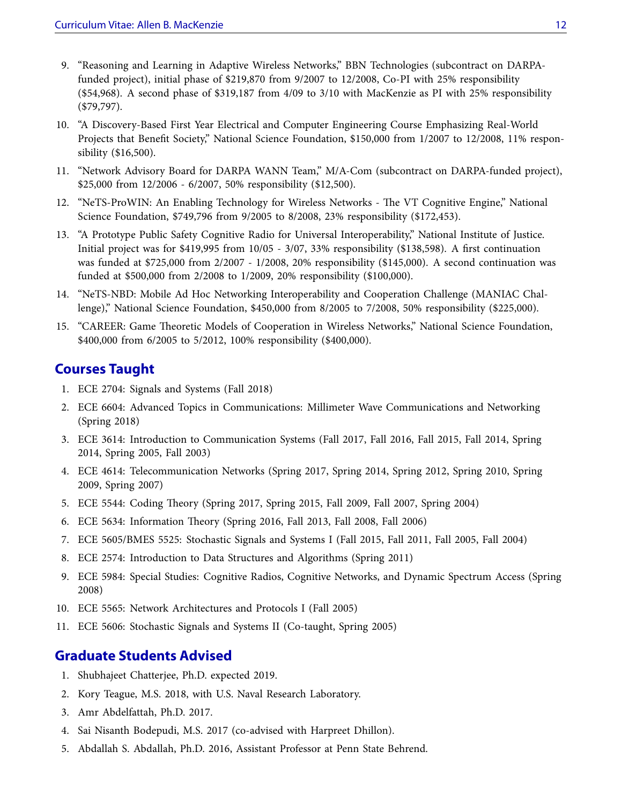- 9. "Reasoning and Learning in Adaptive Wireless Networks," BBN Technologies (subcontract on DARPAfunded project), initial phase of \$219,870 from 9/2007 to 12/2008, Co-PI with 25% responsibility (\$54,968). A second phase of \$319,187 from 4/09 to 3/10 with MacKenzie as PI with 25% responsibility (\$79,797).
- 10. "A Discovery-Based First Year Electrical and Computer Engineering Course Emphasizing Real-World Projects that Benefit Society," National Science Foundation, \$150,000 from 1/2007 to 12/2008, 11% responsibility (\$16,500).
- 11. "Network Advisory Board for DARPA WANN Team," M/A-Com (subcontract on DARPA-funded project), \$25,000 from 12/2006 - 6/2007, 50% responsibility (\$12,500).
- 12. "NeTS-ProWIN: An Enabling Technology for Wireless Networks The VT Cognitive Engine," National Science Foundation, \$749,796 from 9/2005 to 8/2008, 23% responsibility (\$172,453).
- 13. "A Prototype Public Safety Cognitive Radio for Universal Interoperability," National Institute of Justice. Initial project was for \$419,995 from 10/05 - 3/07, 33% responsibility (\$138,598). A first continuation was funded at \$725,000 from 2/2007 - 1/2008, 20% responsibility (\$145,000). A second continuation was funded at \$500,000 from 2/2008 to 1/2009, 20% responsibility (\$100,000).
- 14. "NeTS-NBD: Mobile Ad Hoc Networking Interoperability and Cooperation Challenge (MANIAC Challenge)," National Science Foundation, \$450,000 from 8/2005 to 7/2008, 50% responsibility (\$225,000).
- 15. "CAREER: Game Theoretic Models of Cooperation in Wireless Networks," National Science Foundation, \$400,000 from 6/2005 to 5/2012, 100% responsibility (\$400,000).

## **Courses Taught**

- 1. ECE 2704: Signals and Systems (Fall 2018)
- 2. ECE 6604: Advanced Topics in Communications: Millimeter Wave Communications and Networking (Spring 2018)
- 3. ECE 3614: Introduction to Communication Systems (Fall 2017, Fall 2016, Fall 2015, Fall 2014, Spring 2014, Spring 2005, Fall 2003)
- 4. ECE 4614: Telecommunication Networks (Spring 2017, Spring 2014, Spring 2012, Spring 2010, Spring 2009, Spring 2007)
- 5. ECE 5544: Coding Theory (Spring 2017, Spring 2015, Fall 2009, Fall 2007, Spring 2004)
- 6. ECE 5634: Information Theory (Spring 2016, Fall 2013, Fall 2008, Fall 2006)
- 7. ECE 5605/BMES 5525: Stochastic Signals and Systems I (Fall 2015, Fall 2011, Fall 2005, Fall 2004)
- 8. ECE 2574: Introduction to Data Structures and Algorithms (Spring 2011)
- 9. ECE 5984: Special Studies: Cognitive Radios, Cognitive Networks, and Dynamic Spectrum Access (Spring 2008)
- 10. ECE 5565: Network Architectures and Protocols I (Fall 2005)
- 11. ECE 5606: Stochastic Signals and Systems II (Co-taught, Spring 2005)

## **Graduate Students Advised**

- 1. Shubhajeet Chatterjee, Ph.D. expected 2019.
- 2. Kory Teague, M.S. 2018, with U.S. Naval Research Laboratory.
- 3. Amr Abdelfattah, Ph.D. 2017.
- 4. Sai Nisanth Bodepudi, M.S. 2017 (co-advised with Harpreet Dhillon).
- 5. Abdallah S. Abdallah, Ph.D. 2016, Assistant Professor at Penn State Behrend.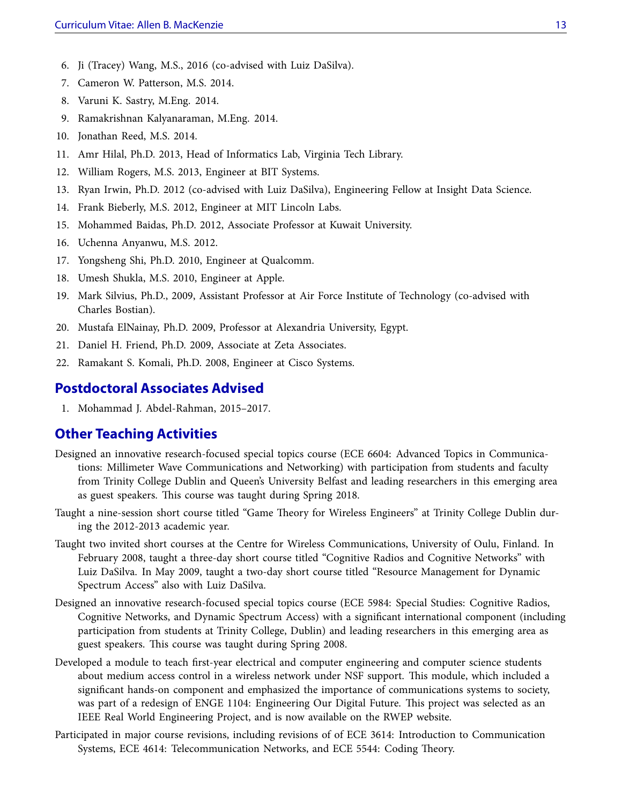- 6. Ji (Tracey) Wang, M.S., 2016 (co-advised with Luiz DaSilva).
- 7. Cameron W. Patterson, M.S. 2014.
- 8. Varuni K. Sastry, M.Eng. 2014.
- 9. Ramakrishnan Kalyanaraman, M.Eng. 2014.
- 10. Jonathan Reed, M.S. 2014.
- 11. Amr Hilal, Ph.D. 2013, Head of Informatics Lab, Virginia Tech Library.
- 12. William Rogers, M.S. 2013, Engineer at BIT Systems.
- 13. Ryan Irwin, Ph.D. 2012 (co-advised with Luiz DaSilva), Engineering Fellow at Insight Data Science.
- 14. Frank Bieberly, M.S. 2012, Engineer at MIT Lincoln Labs.
- 15. Mohammed Baidas, Ph.D. 2012, Associate Professor at Kuwait University.
- 16. Uchenna Anyanwu, M.S. 2012.
- 17. Yongsheng Shi, Ph.D. 2010, Engineer at Qualcomm.
- 18. Umesh Shukla, M.S. 2010, Engineer at Apple.
- 19. Mark Silvius, Ph.D., 2009, Assistant Professor at Air Force Institute of Technology (co-advised with Charles Bostian).
- 20. Mustafa ElNainay, Ph.D. 2009, Professor at Alexandria University, Egypt.
- 21. Daniel H. Friend, Ph.D. 2009, Associate at Zeta Associates.
- 22. Ramakant S. Komali, Ph.D. 2008, Engineer at Cisco Systems.

### **Postdoctoral Associates Advised**

1. Mohammad J. Abdel-Rahman, 2015–2017.

### **Other Teaching Activities**

- Designed an innovative research-focused special topics course (ECE 6604: Advanced Topics in Communications: Millimeter Wave Communications and Networking) with participation from students and faculty from Trinity College Dublin and Queen's University Belfast and leading researchers in this emerging area as guest speakers. This course was taught during Spring 2018.
- Taught a nine-session short course titled "Game Theory for Wireless Engineers" at Trinity College Dublin during the 2012-2013 academic year.
- Taught two invited short courses at the Centre for Wireless Communications, University of Oulu, Finland. In February 2008, taught a three-day short course titled "Cognitive Radios and Cognitive Networks" with Luiz DaSilva. In May 2009, taught a two-day short course titled "Resource Management for Dynamic Spectrum Access" also with Luiz DaSilva.
- Designed an innovative research-focused special topics course (ECE 5984: Special Studies: Cognitive Radios, Cognitive Networks, and Dynamic Spectrum Access) with a significant international component (including participation from students at Trinity College, Dublin) and leading researchers in this emerging area as guest speakers. This course was taught during Spring 2008.
- Developed a module to teach first-year electrical and computer engineering and computer science students about medium access control in a wireless network under NSF support. This module, which included a significant hands-on component and emphasized the importance of communications systems to society, was part of a redesign of ENGE 1104: Engineering Our Digital Future. This project was selected as an IEEE Real World Engineering Project, and is now available on the RWEP website.
- Participated in major course revisions, including revisions of of ECE 3614: Introduction to Communication Systems, ECE 4614: Telecommunication Networks, and ECE 5544: Coding Theory.